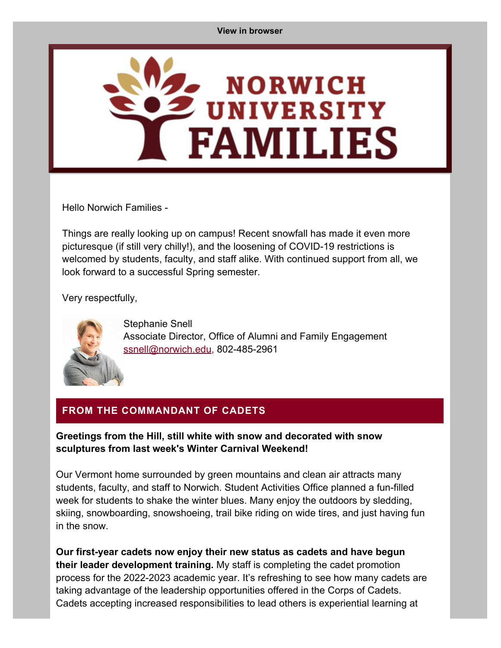<span id="page-0-0"></span>

Hello Norwich Families -

Things are really looking up on campus! Recent snowfall has made it even more picturesque (if still very chilly!), and the loosening of COVID-19 restrictions is welcomed by students, faculty, and staff alike. With continued support from all, we look forward to a successful Spring semester.

Very respectfully,



Stephanie Snell Associate Director, Office of Alumni and Family Engagement [ssnell@norwich.edu](mailto:ssnell@norwich.edu), 802-485-2961

# **FROM THE COMMANDANT OF CADETS**

#### **Greetings from the Hill, still white with snow and decorated with snow sculptures from last week's Winter Carnival Weekend!**

Our Vermont home surrounded by green mountains and clean air attracts many students, faculty, and staff to Norwich. Student Activities Office planned a fun-filled week for students to shake the winter blues. Many enjoy the outdoors by sledding, skiing, snowboarding, snowshoeing, trail bike riding on wide tires, and just having fun in the snow.

**Our first-year cadets now enjoy their new status as cadets and have begun their leader development training.** My staff is completing the cadet promotion process for the 2022-2023 academic year. It's refreshing to see how many cadets are taking advantage of the leadership opportunities offered in the Corps of Cadets. Cadets accepting increased responsibilities to lead others is experiential learning at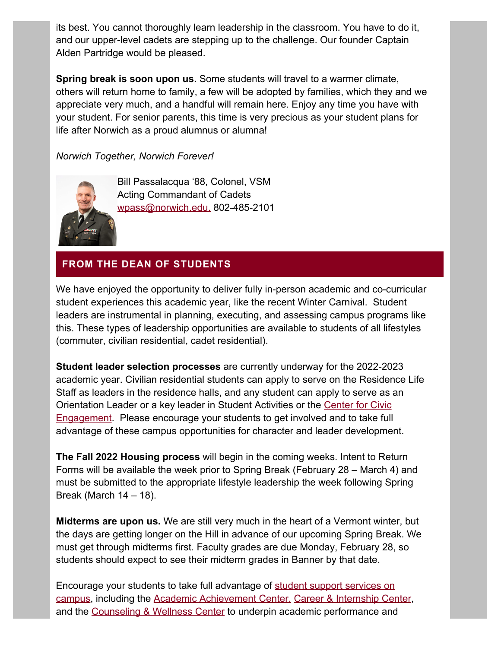its best. You cannot thoroughly learn leadership in the classroom. You have to do it, and our upper-level cadets are stepping up to the challenge. Our founder Captain Alden Partridge would be pleased.

**Spring break is soon upon us.** Some students will travel to a warmer climate, others will return home to family, a few will be adopted by families, which they and we appreciate very much, and a handful will remain here. Enjoy any time you have with your student. For senior parents, this time is very precious as your student plans for life after Norwich as a proud alumnus or alumna!

*Norwich Together, Norwich Forever!*



Bill Passalacqua '88, Colonel, VSM Acting Commandant of Cadets [wpass@norwich.edu](mailto:%20wpass@norwich.edu), 802-485-2101

# **FROM THE DEAN OF STUDENTS**

We have enjoyed the opportunity to deliver fully in-person academic and co-curricular student experiences this academic year, like the recent Winter Carnival. Student leaders are instrumental in planning, executing, and assessing campus programs like this. These types of leadership opportunities are available to students of all lifestyles (commuter, civilian residential, cadet residential).

**Student leader selection processes** are currently underway for the 2022-2023 academic year. Civilian residential students can apply to serve on the Residence Life Staff as leaders in the residence halls, and any student can apply to serve as an Orientation Leader or a key leader in Student Activities or the [Center for Civic](https://alumni.norwich.edu/page.redir?target=https%3a%2f%2fwww.norwich.edu%2fcce&srcid=156706&srctid=1&erid=22375273&trid=9c5b210c-57de-4af5-9c23-74183c7eda55) [Engagement.](https://alumni.norwich.edu/page.redir?target=https%3a%2f%2fwww.norwich.edu%2fcce&srcid=156706&srctid=1&erid=22375273&trid=9c5b210c-57de-4af5-9c23-74183c7eda55) Please encourage your students to get involved and to take full advantage of these campus opportunities for character and leader development.

**The Fall 2022 Housing process** will begin in the coming weeks. Intent to Return Forms will be available the week prior to Spring Break (February 28 – March 4) and must be submitted to the appropriate lifestyle leadership the week following Spring Break (March  $14 - 18$ ).

**Midterms are upon us.** We are still very much in the heart of a Vermont winter, but the days are getting longer on the Hill in advance of our upcoming Spring Break. We must get through midterms first. Faculty grades are due Monday, February 28, so students should expect to see their midterm grades in Banner by that date.

Encourage your students to take full advantage of [student support services on](https://alumni.norwich.edu/page.redir?target=https%3a%2f%2fwww.norwich.edu%2fcampus-life&srcid=156706&srctid=1&erid=22375273&trid=9c5b210c-57de-4af5-9c23-74183c7eda55) [campus,](https://alumni.norwich.edu/page.redir?target=https%3a%2f%2fwww.norwich.edu%2fcampus-life&srcid=156706&srctid=1&erid=22375273&trid=9c5b210c-57de-4af5-9c23-74183c7eda55) including the [Academic Achievement Center](https://alumni.norwich.edu/page.redir?target=https%3a%2f%2fwww.norwich.edu%2faac&srcid=156706&srctid=1&erid=22375273&trid=9c5b210c-57de-4af5-9c23-74183c7eda55), [Career & Internship Center](https://alumni.norwich.edu/page.redir?target=https%3a%2f%2fwww.norwich.edu%2fcareers&srcid=156706&srctid=1&erid=22375273&trid=9c5b210c-57de-4af5-9c23-74183c7eda55), and the [Counseling & Wellness Center](https://alumni.norwich.edu/page.redir?target=https%3a%2f%2fwww.norwich.edu%2fcounseling&srcid=156706&srctid=1&erid=22375273&trid=9c5b210c-57de-4af5-9c23-74183c7eda55) to underpin academic performance and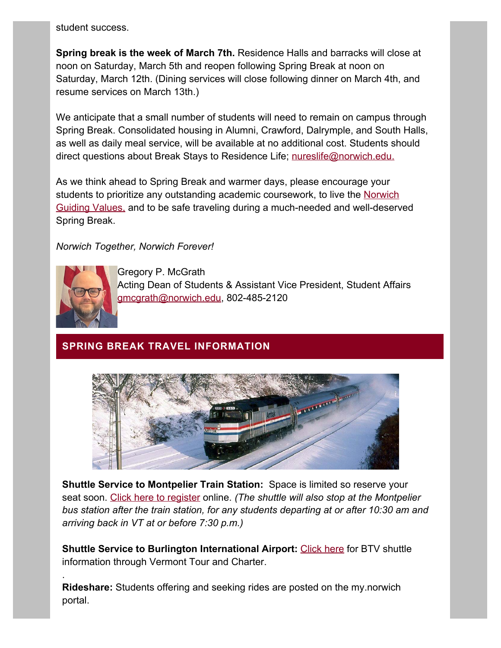student success.

**Spring break is the week of March 7th.** Residence Halls and barracks will close at noon on Saturday, March 5th and reopen following Spring Break at noon on Saturday, March 12th. (Dining services will close following dinner on March 4th, and resume services on March 13th.)

We anticipate that a small number of students will need to remain on campus through Spring Break. Consolidated housing in Alumni, Crawford, Dalrymple, and South Halls, as well as daily meal service, will be available at no additional cost. Students should direct questions about Break Stays to Residence Life; [nureslife@norwich.edu.](mailto:nureslife@norwich.edu)

As we think ahead to Spring Break and warmer days, please encourage your students to prioritize any outstanding academic coursework, to live the [Norwich](https://alumni.norwich.edu/page.redir?target=https%3a%2f%2fwww.norwich.edu%2fabout%2f1210-guiding-values&srcid=156706&srctid=1&erid=22375273&trid=9c5b210c-57de-4af5-9c23-74183c7eda55) [Guiding Values,](https://alumni.norwich.edu/page.redir?target=https%3a%2f%2fwww.norwich.edu%2fabout%2f1210-guiding-values&srcid=156706&srctid=1&erid=22375273&trid=9c5b210c-57de-4af5-9c23-74183c7eda55) and to be safe traveling during a much-needed and well-deserved Spring Break.

#### *Norwich Together, Norwich Forever!*



.

Gregory P. McGrath Acting Dean of Students & Assistant Vice President, Student Affairs [gmcgrath@norwich.edu,](mailto:%20gmcgrath@norwich.edu) 802-485-2120

## **SPRING BREAK TRAVEL INFORMATION**



**Shuttle Service to Montpelier Train Station:** Space is limited so reserve your seat soon. [Click here to register](https://alumni.norwich.edu/page.redir?target=https%3a%2f%2falumni.norwich.edu%2fShuttleServiceRegistration&srcid=156706&srctid=1&erid=22375273&trid=9c5b210c-57de-4af5-9c23-74183c7eda55) online. *(The shuttle will also stop at the Montpelier bus station after the train station, for any students departing at or after 10:30 am and arriving back in VT at or before 7:30 p.m.)*

**Shuttle Service to Burlington International Airport:** [Click here](https://alumni.norwich.edu/page.redir?target=https%3a%2f%2fvermonttourandcharter.com%2fnorwich&srcid=156706&srctid=1&erid=22375273&trid=9c5b210c-57de-4af5-9c23-74183c7eda55) for BTV shuttle information through Vermont Tour and Charter.

**Rideshare:** Students offering and seeking rides are posted on the my.norwich portal.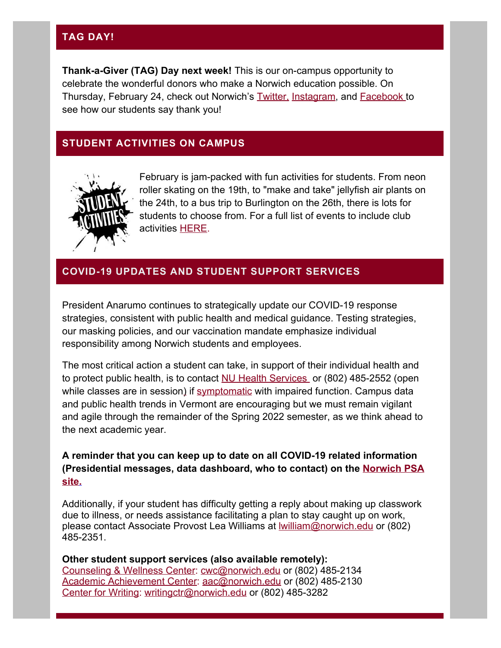## **TAG DAY!**

**Thank-a-Giver (TAG) Day next week!** This is our on-campus opportunity to celebrate the wonderful donors who make a Norwich education possible. On Thursday, February 24, check out Norwich's [Twitter,](https://alumni.norwich.edu/page.redir?target=https%3a%2f%2ftwitter.com%2fnorwichnews%3fref_src%3dtwsrc%255Egoogle%257Ctwcamp%255Eserp%257Ctwgr%255Eauthor&srcid=156706&srctid=1&erid=22375273&trid=9c5b210c-57de-4af5-9c23-74183c7eda55) [Instagram](https://alumni.norwich.edu/page.redir?target=https%3a%2f%2fwww.instagram.com%2fnorwichuniversity%2f%3fhl%3den&srcid=156706&srctid=1&erid=22375273&trid=9c5b210c-57de-4af5-9c23-74183c7eda55), and [Facebook](https://alumni.norwich.edu/page.redir?target=https%3a%2f%2fwww.facebook.com%2fNorwichUniversity%2f&srcid=156706&srctid=1&erid=22375273&trid=9c5b210c-57de-4af5-9c23-74183c7eda55) to see how our students say thank you!

### **STUDENT ACTIVITIES ON CAMPUS**



February is jam-packed with fun activities for students. From neon roller skating on the 19th, to "make and take" jellyfish air plants on the 24th, to a bus trip to Burlington on the 26th, there is lots for students to choose from. For a full list of events to include club activities [HERE](https://alumni.norwich.edu/page.redir?target=https%3a%2f%2fnorwich.campuslabs.com%2fengage%2fevents&srcid=156706&srctid=1&erid=22375273&trid=9c5b210c-57de-4af5-9c23-74183c7eda55).

## **COVID-19 UPDATES AND STUDENT SUPPORT SERVICES**

President Anarumo continues to strategically update our COVID-19 response strategies, consistent with public health and medical guidance. Testing strategies, our masking policies, and our vaccination mandate emphasize individual responsibility among Norwich students and employees.

The most critical action a student can take, in support of their individual health and to protect public health, is to contact [NU Health Services](mailto:nuinfirm@norwich.edu) or (802) 485-2552 (open while classes are in sessio[n\)](https://alumni.norwich.edu/page.redir?target=https%3a%2f%2fwww.norwich.edu%2fhealth-center&srcid=156706&srctid=1&erid=22375273&trid=9c5b210c-57de-4af5-9c23-74183c7eda55) if [symptomatic](https://alumni.norwich.edu/page.redir?target=https%3a%2f%2fwww.cdc.gov%2fcoronavirus%2f2019-ncov%2fsymptoms-testing%2fsymptoms.html&srcid=156706&srctid=1&erid=22375273&trid=9c5b210c-57de-4af5-9c23-74183c7eda55) with impaired function. Campus data and public health trends in Vermont are encouraging but we must remain vigilant and agile through the remainder of the Spring 2022 semester, as we think ahead to the next academic year.

#### **A reminder that you can keep up to date on all COVID-19 related information (Presidential messages, data dashboard, who to contact) on the [Norwich PSA](https://alumni.norwich.edu/page.redir?target=https%3a%2f%2fwww.norwich.edu%2fnews%2fpsa&srcid=156706&srctid=1&erid=22375273&trid=9c5b210c-57de-4af5-9c23-74183c7eda55) [site.](https://alumni.norwich.edu/page.redir?target=https%3a%2f%2fwww.norwich.edu%2fnews%2fpsa&srcid=156706&srctid=1&erid=22375273&trid=9c5b210c-57de-4af5-9c23-74183c7eda55)**

Additionally, if your student has difficulty getting a reply about making up classwork due to illness, or needs assistance facilitating a plan to stay caught up on work, please contact Associate Provost Lea Williams at **Iwilliam@norwich.edu** or (802) 485-2351.

**Other student support services (also available remotely):** [Counseling & Wellness Center](https://alumni.norwich.edu/page.redir?target=https%3a%2f%2fwww.norwich.edu%2fcounseling&srcid=156706&srctid=1&erid=22375273&trid=9c5b210c-57de-4af5-9c23-74183c7eda55): [cwc@norwich.edu](mailto:cwc@norwich.edu) or (802) 485-2134 [Academic Achievement Center](https://alumni.norwich.edu/page.redir?target=https%3a%2f%2fwww.norwich.edu%2faac&srcid=156706&srctid=1&erid=22375273&trid=9c5b210c-57de-4af5-9c23-74183c7eda55): [aac@norwich.edu](mailto:aac@norwich.edu) or (802) 485-2130 [Center for Writing](https://alumni.norwich.edu/page.redir?target=https%3a%2f%2fwww.norwich.edu%2fwriting-center&srcid=156706&srctid=1&erid=22375273&trid=9c5b210c-57de-4af5-9c23-74183c7eda55): [writingctr@norwich.edu](mailto:writingctr@norwich.edu) or (802) 485-3282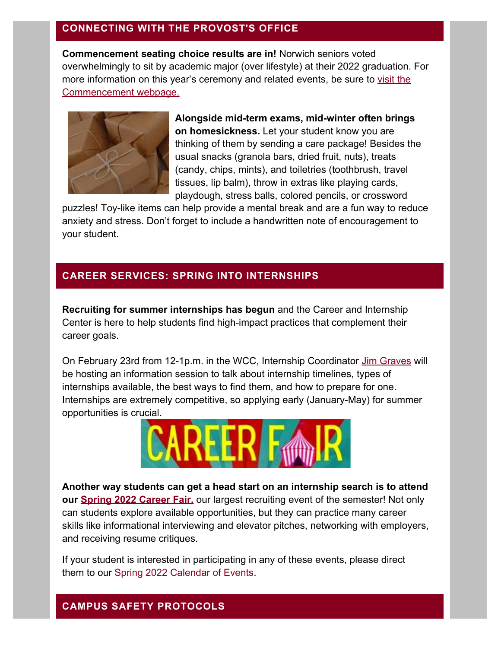### **CONNECTING WITH THE PROVOST'S OFFICE**

**Commencement seating choice results are in!** Norwich seniors voted overwhelmingly to sit by academic major (over lifestyle) at their 2022 graduation. For more information on this year's ceremony and related events, be sure to [visit the](https://alumni.norwich.edu/page.redir?target=https%3a%2f%2fwww.norwich.edu%2fcommencement&srcid=156706&srctid=1&erid=22375273&trid=9c5b210c-57de-4af5-9c23-74183c7eda55) [Commencement webpage.](https://alumni.norwich.edu/page.redir?target=https%3a%2f%2fwww.norwich.edu%2fcommencement&srcid=156706&srctid=1&erid=22375273&trid=9c5b210c-57de-4af5-9c23-74183c7eda55)



**Alongside mid-term exams, mid-winter often brings on homesickness.** Let your student know you are thinking of them by sending a care package! Besides the usual snacks (granola bars, dried fruit, nuts), treats (candy, chips, mints), and toiletries (toothbrush, travel tissues, lip balm), throw in extras like playing cards, playdough, stress balls, colored pencils, or crossword

puzzles! Toy-like items can help provide a mental break and are a fun way to reduce anxiety and stress. Don't forget to include a handwritten note of encouragement to your student.

#### **CAREER SERVICES: SPRING INTO INTERNSHIPS**

**Recruiting for summer internships has begun** and the Career and Internship Center is here to help students find high-impact practices that complement their career goals.

On February 23rd from 12-1p.m. in the WCC, Internship Coordinator [Jim Graves](mailto:jgraves@norwich.edu) will be hosting an information session to talk about internship timelines, types of internships available, the best ways to find them, and how to prepare for one. Internships are extremely competitive, so applying early (January-May) for summer opportunities is crucial.



**Another way students can get a head start on an internship search is to attend our [Spring 2022 Career Fair](https://alumni.norwich.edu/page.redir?target=https%3a%2f%2fsway.office.com%2f8c1akQLVwQZGGUGr%3fref%3dLink%26amp%3bloc%3dplay&srcid=156706&srctid=1&erid=22375273&trid=9c5b210c-57de-4af5-9c23-74183c7eda55),** our largest recruiting event of the semester! Not only can students explore available opportunities, but they can practice many career skills like informational interviewing and elevator pitches, networking with employers, and receiving resume critiques.

If your student is interested in participating in any of these events, please direct them to our [Spring 2022 Calendar of Events](https://alumni.norwich.edu/page.redir?target=https%3a%2f%2fsway.office.com%2fzUMa2UohG50jqqtL%3fref%3dLink&srcid=156706&srctid=1&erid=22375273&trid=9c5b210c-57de-4af5-9c23-74183c7eda55).

#### **CAMPUS SAFETY PROTOCOLS**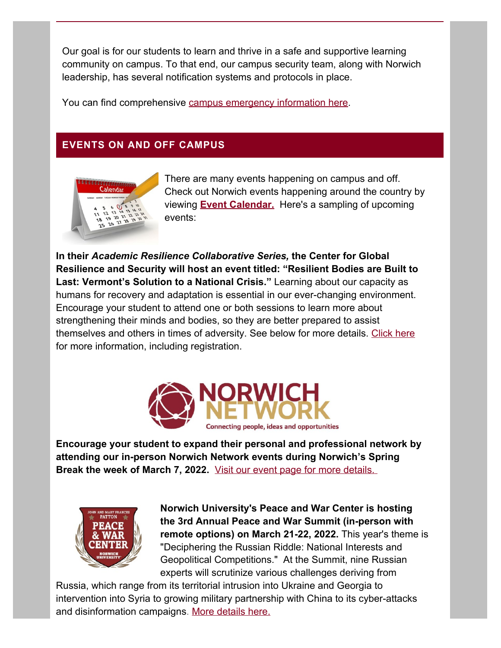Our goal is for our students to learn and thrive in a safe and supportive learning community on campus. To that end, our campus security team, along with Norwich leadership, has several notification systems and protocols in place.

You can find comprehensive [campus emergency information here](https://alumni.norwich.edu/page.redir?target=https%3a%2f%2fwww.norwich.edu%2femergency&srcid=156706&srctid=1&erid=22375273&trid=9c5b210c-57de-4af5-9c23-74183c7eda55).

# **EVENTS ON AND OFF CAMPUS**



There are many events happening on campus and off. Check out Norwich events happening around the country by viewing **[Event Calendar.](https://alumni.norwich.edu/Events?srctid=1&erid=22375273&trid=9c5b210c-57de-4af5-9c23-74183c7eda55)** Here's a sampling of upcoming events:

**In their** *Academic Resilience Collaborative Series,* **the Center for Global Resilience and Security will host an event titled: "Resilient Bodies are Built to Last: Vermont's Solution to a National Crisis."** Learning about our capacity as humans for recovery and adaptation is essential in our ever-changing environment. Encourage your student to attend one or both sessions to learn more about strengthening their minds and bodies, so they are better prepared to assist themselves and others in times of adversity. See below for more details. [Click here](https://alumni.norwich.edu/page.redir?target=https%3a%2f%2fwww.norwich.edu%2fnews%2f3599-norwich-university-presents-resilient-bodies-are-built-to-last-vermont-s-solution-to-a-national-crisis&srcid=156706&srctid=1&erid=22375273&trid=9c5b210c-57de-4af5-9c23-74183c7eda55) for more information, including registration.



**Encourage your student to expand their personal and professional network by attending our in-person Norwich Network events during Norwich's Spring Break the week of March 7, 2022.** [Visit our event page for more details.](https://alumni.norwich.edu/page.redir?target=https%3a%2f%2falumni.norwich.edu%2fNorwichNetworkingEvents&srcid=156706&srctid=1&erid=22375273&trid=9c5b210c-57de-4af5-9c23-74183c7eda55)



**Norwich University's Peace and War Center is hosting the 3rd Annual Peace and War Summit (in-person with remote options) on March 21-22, 2022.** This year's theme is "Deciphering the Russian Riddle: National Interests and Geopolitical Competitions." At the Summit, nine Russian experts will scrutinize various challenges deriving from

Russia, which range from its territorial intrusion into Ukraine and Georgia to intervention into Syria to growing military partnership with China to its cyber-attacks and disinformation campaigns. [More details here.](https://alumni.norwich.edu/page.redir?target=https%3a%2f%2fwww.norwich.edu%2fpawc%2fevents%2f3468-2022-peace-and-war-virtual-summit&srcid=156706&srctid=1&erid=22375273&trid=9c5b210c-57de-4af5-9c23-74183c7eda55)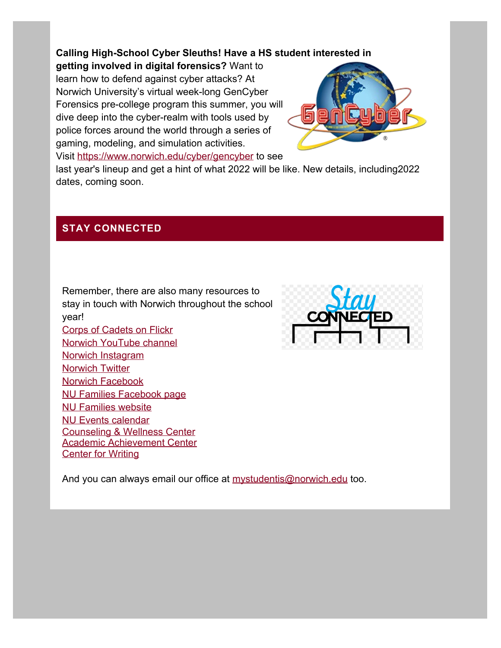### **Calling High-School Cyber Sleuths! Have a HS student interested in**

**getting involved in digital forensics?** Want to learn how to defend against cyber attacks? At Norwich University's virtual week-long GenCyber Forensics pre-college program this summer, you will dive deep into the cyber-realm with tools used by police forces around the world through a series of gaming, modeling, and simulation activities. Visit [https://www.norwich.edu/cyber/gencyber](https://alumni.norwich.edu/page.redir?target=https%3a%2f%2fwww.norwich.edu%2fcyber%2fgencyber&srcid=156706&srctid=1&erid=22375273&trid=9c5b210c-57de-4af5-9c23-74183c7eda55) to see



last year's lineup and get a hint of what 2022 will be like. New details, including2022 dates, coming soon.

#### **STAY CONNECTED**

Norwich [Facebook](https://alumni.norwich.edu/page.redir?target=https%3a%2f%2fwww.facebook.com%2fNorwichUniversity%2f&srcid=156706&srctid=1&erid=22375273&trid=9c5b210c-57de-4af5-9c23-74183c7eda55)

[NU Families website](https://alumni.norwich.edu/page.redir?target=https%3a%2f%2falumni.norwich.edu%2fNUfamilies&srcid=156706&srctid=1&erid=22375273&trid=9c5b210c-57de-4af5-9c23-74183c7eda55) [NU Events calendar](https://alumni.norwich.edu/Events?srctid=1&erid=22375273&trid=9c5b210c-57de-4af5-9c23-74183c7eda55)

**[Center for Writing](https://alumni.norwich.edu/page.redir?target=https%3a%2f%2fwww.norwich.edu%2fwriting-center&srcid=156706&srctid=1&erid=22375273&trid=9c5b210c-57de-4af5-9c23-74183c7eda55)** 

[NU Families Facebook page](https://alumni.norwich.edu/page.redir?target=https%3a%2f%2fwww.facebook.com%2fNUFamilies&srcid=156706&srctid=1&erid=22375273&trid=9c5b210c-57de-4af5-9c23-74183c7eda55)

[Counseling & Wellness Center](https://alumni.norwich.edu/page.redir?target=https%3a%2f%2fwww.norwich.edu%2fcounseling&srcid=156706&srctid=1&erid=22375273&trid=9c5b210c-57de-4af5-9c23-74183c7eda55) [Academic Achievement Center](https://alumni.norwich.edu/page.redir?target=https%3a%2f%2fwww.norwich.edu%2faac&srcid=156706&srctid=1&erid=22375273&trid=9c5b210c-57de-4af5-9c23-74183c7eda55)

Remember, there are also many resources to stay in touch with Norwich throughout the school year! [Corps of Cadets on Flickr](https://alumni.norwich.edu/page.redir?target=https%3a%2f%2fwww.flickr.com%2fphotos%2fnucorpsofcadets%2f&srcid=156706&srctid=1&erid=22375273&trid=9c5b210c-57de-4af5-9c23-74183c7eda55) [Norwich YouTube channel](https://alumni.norwich.edu/page.redir?target=https%3a%2f%2fwww.youtube.com%2fc%2fnorwichuniversity%2ffeatured&srcid=156706&srctid=1&erid=22375273&trid=9c5b210c-57de-4af5-9c23-74183c7eda55) [Norwich Instagram](https://alumni.norwich.edu/page.redir?target=https%3a%2f%2fwww.instagram.com%2fnorwichuniversity%2f%3fhl%3den&srcid=156706&srctid=1&erid=22375273&trid=9c5b210c-57de-4af5-9c23-74183c7eda55) Norwich [Twitter](https://alumni.norwich.edu/page.redir?target=https%3a%2f%2ftwitter.com%2fnorwichnews%3fref_src%3dtwsrc%255Egoogle%257Ctwcamp%255Eserp%257Ctwgr%255Eauthor&srcid=156706&srctid=1&erid=22375273&trid=9c5b210c-57de-4af5-9c23-74183c7eda55)



And you can always email our office at [mystudentis@norwich.edu](mailto:mailto%20mystudentis@norwich.edu) too.